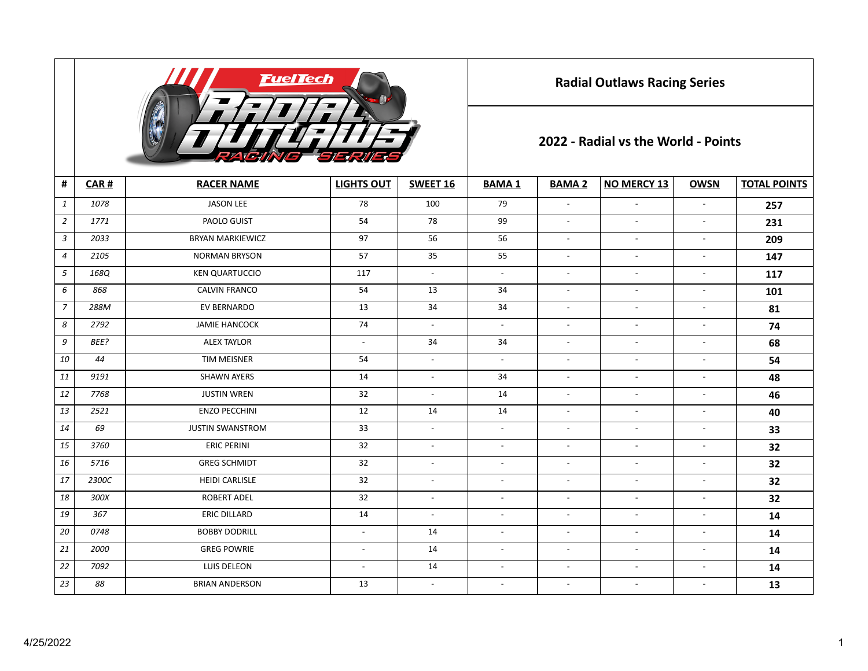

**Radial Outlaws Racing Series**

## **2022 - Radial vs the World - Points**

| $\pmb{\sharp}$ | CAR#  | <b>RACER NAME</b>       | <b>LIGHTS OUT</b>        | SWEET 16                 | <b>BAMA1</b>             | <b>BAMA 2</b>            | <b>NO MERCY 13</b>       | <b>OWSN</b>              | <b>TOTAL POINTS</b> |  |  |
|----------------|-------|-------------------------|--------------------------|--------------------------|--------------------------|--------------------------|--------------------------|--------------------------|---------------------|--|--|
| $\mathbf{1}$   | 1078  | <b>JASON LEE</b>        | 78                       | 100                      | 79                       | $\overline{\phantom{a}}$ | $\overline{\phantom{a}}$ | $\blacksquare$           | 257                 |  |  |
| $\overline{2}$ | 1771  | PAOLO GUIST             | 54                       | 78                       | 99                       | $\overline{a}$           | $\overline{a}$           | $\overline{\phantom{a}}$ | 231                 |  |  |
| $\mathbf{3}$   | 2033  | <b>BRYAN MARKIEWICZ</b> | 97                       | 56                       | 56                       | $\overline{a}$           | $\overline{a}$           | $\overline{\phantom{a}}$ | 209                 |  |  |
| $\overline{4}$ | 2105  | <b>NORMAN BRYSON</b>    | 57                       | 35                       | 55                       | $\overline{a}$           | $\overline{a}$           | $\overline{\phantom{a}}$ | 147                 |  |  |
| 5              | 168Q  | <b>KEN QUARTUCCIO</b>   | 117                      | $\overline{\phantom{a}}$ | $\sim$                   | $\overline{a}$           | $\overline{\phantom{a}}$ | $\overline{\phantom{a}}$ | 117                 |  |  |
| 6              | 868   | <b>CALVIN FRANCO</b>    | 54                       | 13                       | 34                       | $\overline{a}$           | $\overline{\phantom{a}}$ | $\overline{\phantom{a}}$ | 101                 |  |  |
| $\overline{7}$ | 288M  | EV BERNARDO             | 13                       | 34                       | 34                       | $\overline{\phantom{a}}$ | $\overline{\phantom{a}}$ | $\overline{\phantom{a}}$ | 81                  |  |  |
| 8              | 2792  | <b>JAMIE HANCOCK</b>    | 74                       | $\overline{\phantom{a}}$ | $\blacksquare$           | $\overline{\phantom{a}}$ | $\overline{\phantom{a}}$ | $\overline{\phantom{a}}$ | 74                  |  |  |
| 9              | BEE?  | <b>ALEX TAYLOR</b>      | $\sim$                   | 34                       | 34                       | $\overline{\phantom{a}}$ | $\overline{\phantom{a}}$ | $\overline{\phantom{a}}$ | 68                  |  |  |
| 10             | 44    | <b>TIM MEISNER</b>      | 54                       | $\overline{\phantom{a}}$ | $\overline{\phantom{a}}$ | $\overline{\phantom{a}}$ | $\sim$                   | $\overline{\phantom{a}}$ | 54                  |  |  |
| 11             | 9191  | <b>SHAWN AYERS</b>      | 14                       | $\overline{\phantom{a}}$ | 34                       | $\sim$                   | $\overline{\phantom{a}}$ | $\overline{\phantom{a}}$ | 48                  |  |  |
| 12             | 7768  | <b>JUSTIN WREN</b>      | 32                       | $\blacksquare$           | 14                       | $\overline{\phantom{a}}$ | $\overline{\phantom{a}}$ | $\overline{\phantom{a}}$ | 46                  |  |  |
| 13             | 2521  | <b>ENZO PECCHINI</b>    | 12                       | 14                       | 14                       | $\sim$                   | $\sim$                   | $\overline{\phantom{a}}$ | 40                  |  |  |
| 14             | 69    | <b>JUSTIN SWANSTROM</b> | 33                       | $\sim$                   | $\sim$                   | $\overline{\phantom{a}}$ | $\overline{\phantom{a}}$ | $\overline{\phantom{a}}$ | 33                  |  |  |
| 15             | 3760  | <b>ERIC PERINI</b>      | 32                       | $\overline{\phantom{a}}$ | $\overline{\phantom{a}}$ | $\overline{\phantom{a}}$ | $\sim$                   | $\overline{\phantom{a}}$ | 32                  |  |  |
| 16             | 5716  | <b>GREG SCHMIDT</b>     | 32                       | $\blacksquare$           | $\blacksquare$           | $\overline{\phantom{a}}$ | $\sim$                   | $\overline{\phantom{a}}$ | 32                  |  |  |
| 17             | 2300C | <b>HEIDI CARLISLE</b>   | 32                       | $\blacksquare$           | $\blacksquare$           | $\sim$                   | $\sim$                   | $\overline{\phantom{a}}$ | 32                  |  |  |
| 18             | 300X  | <b>ROBERT ADEL</b>      | 32                       | $\sim$                   | $\overline{a}$           | $\overline{a}$           | $\overline{a}$           | $\overline{\phantom{a}}$ | 32                  |  |  |
| 19             | 367   | <b>ERIC DILLARD</b>     | 14                       | $\overline{\phantom{a}}$ | $\overline{\phantom{a}}$ | $\overline{\phantom{a}}$ | $\overline{\phantom{a}}$ | $\overline{\phantom{a}}$ | 14                  |  |  |
| 20             | 0748  | <b>BOBBY DODRILL</b>    | $\overline{\phantom{a}}$ | 14                       | $\overline{\phantom{a}}$ | $\overline{\phantom{a}}$ | $\overline{\phantom{a}}$ | $\overline{\phantom{a}}$ | 14                  |  |  |
| 21             | 2000  | <b>GREG POWRIE</b>      | $\blacksquare$           | 14                       | $\blacksquare$           | $\blacksquare$           | $\overline{\phantom{a}}$ | $\overline{\phantom{a}}$ | 14                  |  |  |
| 22             | 7092  | LUIS DELEON             | $\overline{\phantom{a}}$ | 14                       | $\overline{\phantom{a}}$ | $\blacksquare$           | $\sim$                   | $\overline{\phantom{a}}$ | 14                  |  |  |
| 23             | 88    | <b>BRIAN ANDERSON</b>   | 13                       | $\overline{\phantom{a}}$ | $\overline{\phantom{a}}$ | $\overline{\phantom{a}}$ | $\overline{\phantom{a}}$ | $\overline{\phantom{a}}$ | 13                  |  |  |